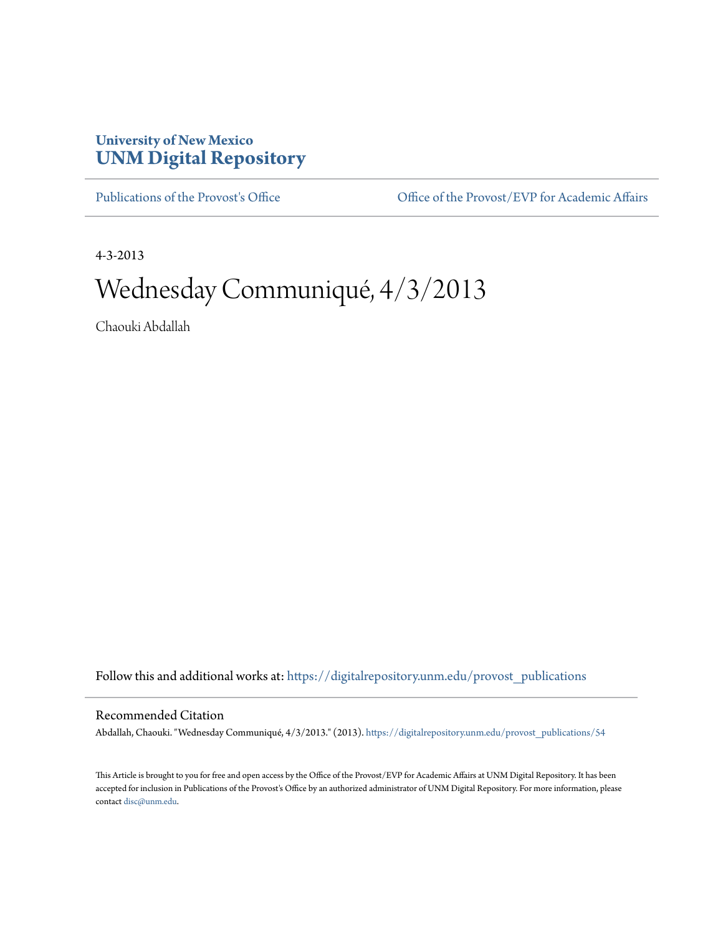## **University of New Mexico [UNM Digital Repository](https://digitalrepository.unm.edu?utm_source=digitalrepository.unm.edu%2Fprovost_publications%2F54&utm_medium=PDF&utm_campaign=PDFCoverPages)**

[Publications of the Provost's Office](https://digitalrepository.unm.edu/provost_publications?utm_source=digitalrepository.unm.edu%2Fprovost_publications%2F54&utm_medium=PDF&utm_campaign=PDFCoverPages) Office [Office of the Provost/EVP for Academic Affairs](https://digitalrepository.unm.edu/ofc_provost?utm_source=digitalrepository.unm.edu%2Fprovost_publications%2F54&utm_medium=PDF&utm_campaign=PDFCoverPages)

4-3-2013

# Wednesday Communiqué, 4/3/2013

Chaouki Abdallah

Follow this and additional works at: [https://digitalrepository.unm.edu/provost\\_publications](https://digitalrepository.unm.edu/provost_publications?utm_source=digitalrepository.unm.edu%2Fprovost_publications%2F54&utm_medium=PDF&utm_campaign=PDFCoverPages)

### Recommended Citation

Abdallah, Chaouki. "Wednesday Communiqué, 4/3/2013." (2013). [https://digitalrepository.unm.edu/provost\\_publications/54](https://digitalrepository.unm.edu/provost_publications/54?utm_source=digitalrepository.unm.edu%2Fprovost_publications%2F54&utm_medium=PDF&utm_campaign=PDFCoverPages)

This Article is brought to you for free and open access by the Office of the Provost/EVP for Academic Affairs at UNM Digital Repository. It has been accepted for inclusion in Publications of the Provost's Office by an authorized administrator of UNM Digital Repository. For more information, please contact [disc@unm.edu.](mailto:disc@unm.edu)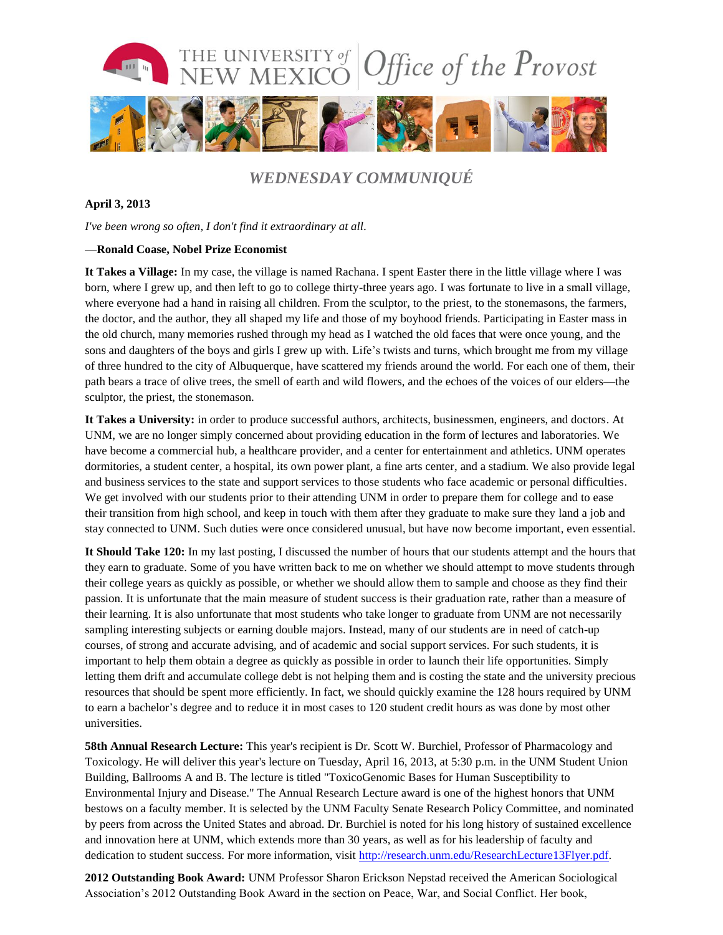

## *WEDNESDAY COMMUNIQUÉ*

#### **April 3, 2013**

*I've been wrong so often, I don't find it extraordinary at all.*

#### —**Ronald Coase, Nobel Prize Economist**

**It Takes a Village:** In my case, the village is named Rachana. I spent Easter there in the little village where I was born, where I grew up, and then left to go to college thirty-three years ago. I was fortunate to live in a small village, where everyone had a hand in raising all children. From the sculptor, to the priest, to the stonemasons, the farmers, the doctor, and the author, they all shaped my life and those of my boyhood friends. Participating in Easter mass in the old church, many memories rushed through my head as I watched the old faces that were once young, and the sons and daughters of the boys and girls I grew up with. Life's twists and turns, which brought me from my village of three hundred to the city of Albuquerque, have scattered my friends around the world. For each one of them, their path bears a trace of olive trees, the smell of earth and wild flowers, and the echoes of the voices of our elders—the sculptor, the priest, the stonemason.

**It Takes a University:** in order to produce successful authors, architects, businessmen, engineers, and doctors. At UNM, we are no longer simply concerned about providing education in the form of lectures and laboratories. We have become a commercial hub, a healthcare provider, and a center for entertainment and athletics. UNM operates dormitories, a student center, a hospital, its own power plant, a fine arts center, and a stadium. We also provide legal and business services to the state and support services to those students who face academic or personal difficulties. We get involved with our students prior to their attending UNM in order to prepare them for college and to ease their transition from high school, and keep in touch with them after they graduate to make sure they land a job and stay connected to UNM. Such duties were once considered unusual, but have now become important, even essential.

**It Should Take 120:** In my last posting, I discussed the number of hours that our students attempt and the hours that they earn to graduate. Some of you have written back to me on whether we should attempt to move students through their college years as quickly as possible, or whether we should allow them to sample and choose as they find their passion. It is unfortunate that the main measure of student success is their graduation rate, rather than a measure of their learning. It is also unfortunate that most students who take longer to graduate from UNM are not necessarily sampling interesting subjects or earning double majors. Instead, many of our students are in need of catch-up courses, of strong and accurate advising, and of academic and social support services. For such students, it is important to help them obtain a degree as quickly as possible in order to launch their life opportunities. Simply letting them drift and accumulate college debt is not helping them and is costing the state and the university precious resources that should be spent more efficiently. In fact, we should quickly examine the 128 hours required by UNM to earn a bachelor's degree and to reduce it in most cases to 120 student credit hours as was done by most other universities.

**58th Annual Research Lecture:** This year's recipient is Dr. Scott W. Burchiel, Professor of Pharmacology and Toxicology. He will deliver this year's lecture on Tuesday, April 16, 2013, at 5:30 p.m. in the UNM Student Union Building, Ballrooms A and B. The lecture is titled "ToxicoGenomic Bases for Human Susceptibility to Environmental Injury and Disease." The Annual Research Lecture award is one of the highest honors that UNM bestows on a faculty member. It is selected by the UNM Faculty Senate Research Policy Committee, and nominated by peers from across the United States and abroad. Dr. Burchiel is noted for his long history of sustained excellence and innovation here at UNM, which extends more than 30 years, as well as for his leadership of faculty and dedication to student success. For more information, visit [http://research.unm.edu/ResearchLecture13Flyer.pdf.](http://research.unm.edu/ResearchLecture13Flyer.pdf)

**2012 Outstanding Book Award:** UNM Professor Sharon Erickson Nepstad received the American Sociological Association's 2012 Outstanding Book Award in the section on Peace, War, and Social Conflict. Her book,